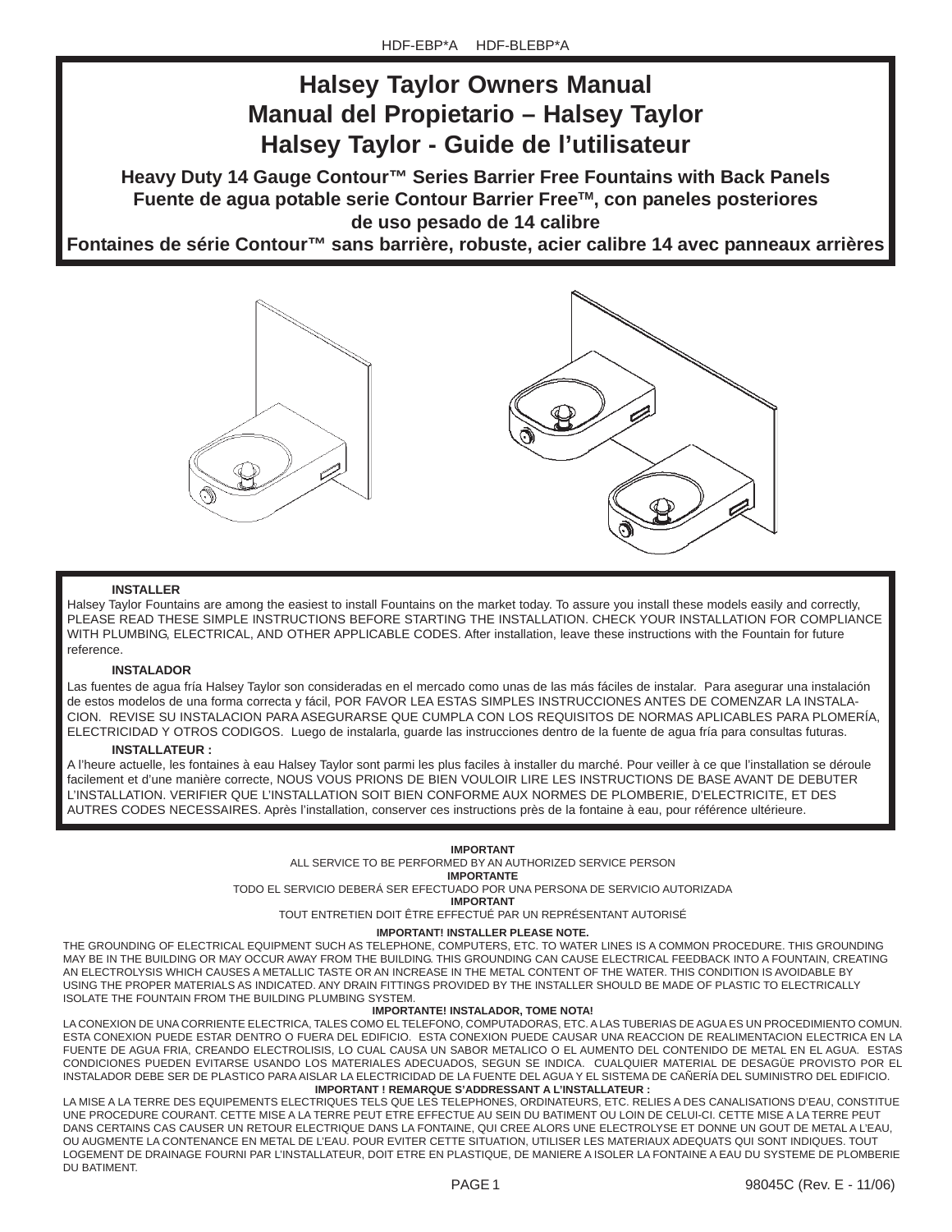# **Halsey Taylor Owners Manual Manual del Propietario – Halsey Taylor Halsey Taylor - Guide de l'utilisateur**

**Heavy Duty 14 Gauge Contour™ Series Barrier Free Fountains with Back Panels Fuente de agua potable serie Contour Barrier FreeTM, con paneles posteriores de uso pesado de 14 calibre**

**Fontaines de série Contour™ sans barrière, robuste, acier calibre 14 avec panneaux arrières**



#### **INSTALLER**

Halsey Taylor Fountains are among the easiest to install Fountains on the market today. To assure you install these models easily and correctly, PLEASE READ THESE SIMPLE INSTRUCTIONS BEFORE STARTING THE INSTALLATION. CHECK YOUR INSTALLATION FOR COMPLIANCE WITH PLUMBING, ELECTRICAL, AND OTHER APPLICABLE CODES. After installation, leave these instructions with the Fountain for future reference.

#### **INSTALADOR**

Las fuentes de agua fría Halsey Taylor son consideradas en el mercado como unas de las más fáciles de instalar. Para asegurar una instalación de estos modelos de una forma correcta y fácil, POR FAVOR LEA ESTAS SIMPLES INSTRUCCIONES ANTES DE COMENZAR LA INSTALA-CION. REVISE SU INSTALACION PARA ASEGURARSE QUE CUMPLA CON LOS REQUISITOS DE NORMAS APLICABLES PARA PLOMERÍA, ELECTRICIDAD Y OTROS CODIGOS. Luego de instalarla, guarde las instrucciones dentro de la fuente de agua fría para consultas futuras.

#### **INSTALLATEUR :**

A l'heure actuelle, les fontaines à eau Halsey Taylor sont parmi les plus faciles à installer du marché. Pour veiller à ce que l'installation se déroule facilement et d'une manière correcte, NOUS VOUS PRIONS DE BIEN VOULOIR LIRE LES INSTRUCTIONS DE BASE AVANT DE DEBUTER L'INSTALLATION. VERIFIER QUE L'INSTALLATION SOIT BIEN CONFORME AUX NORMES DE PLOMBERIE, D'ELECTRICITE, ET DES AUTRES CODES NECESSAIRES. Après l'installation, conserver ces instructions près de la fontaine à eau, pour référence ultérieure.

#### **IMPORTANT**

ALL SERVICE TO BE PERFORMED BY AN AUTHORIZED SERVICE PERSON

**IMPORTANTE**

TODO EL SERVICIO DEBERÁ SER EFECTUADO POR UNA PERSONA DE SERVICIO AUTORIZADA

**IMPORTANT**

TOUT ENTRETIEN DOIT ÊTRE EFFECTUÉ PAR UN REPRÉSENTANT AUTORISÉ

#### **IMPORTANT! INSTALLER PLEASE NOTE.**

THE GROUNDING OF ELECTRICAL EQUIPMENT SUCH AS TELEPHONE, COMPUTERS, ETC. TO WATER LINES IS A COMMON PROCEDURE. THIS GROUNDING MAY BE IN THE BUILDING OR MAY OCCUR AWAY FROM THE BUILDING. THIS GROUNDING CAN CAUSE ELECTRICAL FEEDBACK INTO A FOUNTAIN, CREATING AN ELECTROLYSIS WHICH CAUSES A METALLIC TASTE OR AN INCREASE IN THE METAL CONTENT OF THE WATER. THIS CONDITION IS AVOIDABLE BY USING THE PROPER MATERIALS AS INDICATED. ANY DRAIN FITTINGS PROVIDED BY THE INSTALLER SHOULD BE MADE OF PLASTIC TO ELECTRICALLY ISOLATE THE FOUNTAIN FROM THE BUILDING PLUMBING SYSTEM.

#### **IMPORTANTE! INSTALADOR, TOME NOTA!**

**IMPORTANT ! REMARQUE S'ADDRESSANT A L'INSTALLATEUR :** LA CONEXION DE UNA CORRIENTE ELECTRICA, TALES COMO EL TELEFONO, COMPUTADORAS, ETC. A LAS TUBERIAS DE AGUA ES UN PROCEDIMIENTO COMUN. ESTA CONEXION PUEDE ESTAR DENTRO O FUERA DEL EDIFICIO. ESTA CONEXION PUEDE CAUSAR UNA REACCION DE REALIMENTACION ELECTRICA EN LA FUENTE DE AGUA FRIA, CREANDO ELECTROLISIS, LO CUAL CAUSA UN SABOR METALICO O EL AUMENTO DEL CONTENIDO DE METAL EN EL AGUA. ESTAS CONDICIONES PUEDEN EVITARSE USANDO LOS MATERIALES ADECUADOS, SEGUN SE INDICA. CUALQUIER MATERIAL DE DESAGÜE PROVISTO POR EL INSTALADOR DEBE SER DE PLASTICO PARA AISLAR LA ELECTRICIDAD DE LA FUENTE DEL AGUA Y EL SISTEMA DE CAÑERÍA DEL SUMINISTRO DEL EDIFICIO.

LA MISE A LA TERRE DES EQUIPEMENTS ELECTRIQUES TELS QUE LES TELEPHONES, ORDINATEURS, ETC. RELIES A DES CANALISATIONS D'EAU, CONSTITUE UNE PROCEDURE COURANT. CETTE MISE A LA TERRE PEUT ETRE EFFECTUE AU SEIN DU BATIMENT OU LOIN DE CELUI-CI. CETTE MISE A LA TERRE PEUT DANS CERTAINS CAS CAUSER UN RETOUR ELECTRIQUE DANS LA FONTAINE, QUI CREE ALORS UNE ELECTROLYSE ET DONNE UN GOUT DE METAL A L'EAU, OU AUGMENTE LA CONTENANCE EN METAL DE L'EAU. POUR EVITER CETTE SITUATION, UTILISER LES MATERIAUX ADEQUATS QUI SONT INDIQUES. TOUT LOGEMENT DE DRAINAGE FOURNI PAR L'INSTALLATEUR, DOIT ETRE EN PLASTIQUE, DE MANIERE A ISOLER LA FONTAINE A EAU DU SYSTEME DE PLOMBERIE DU BATIMENT.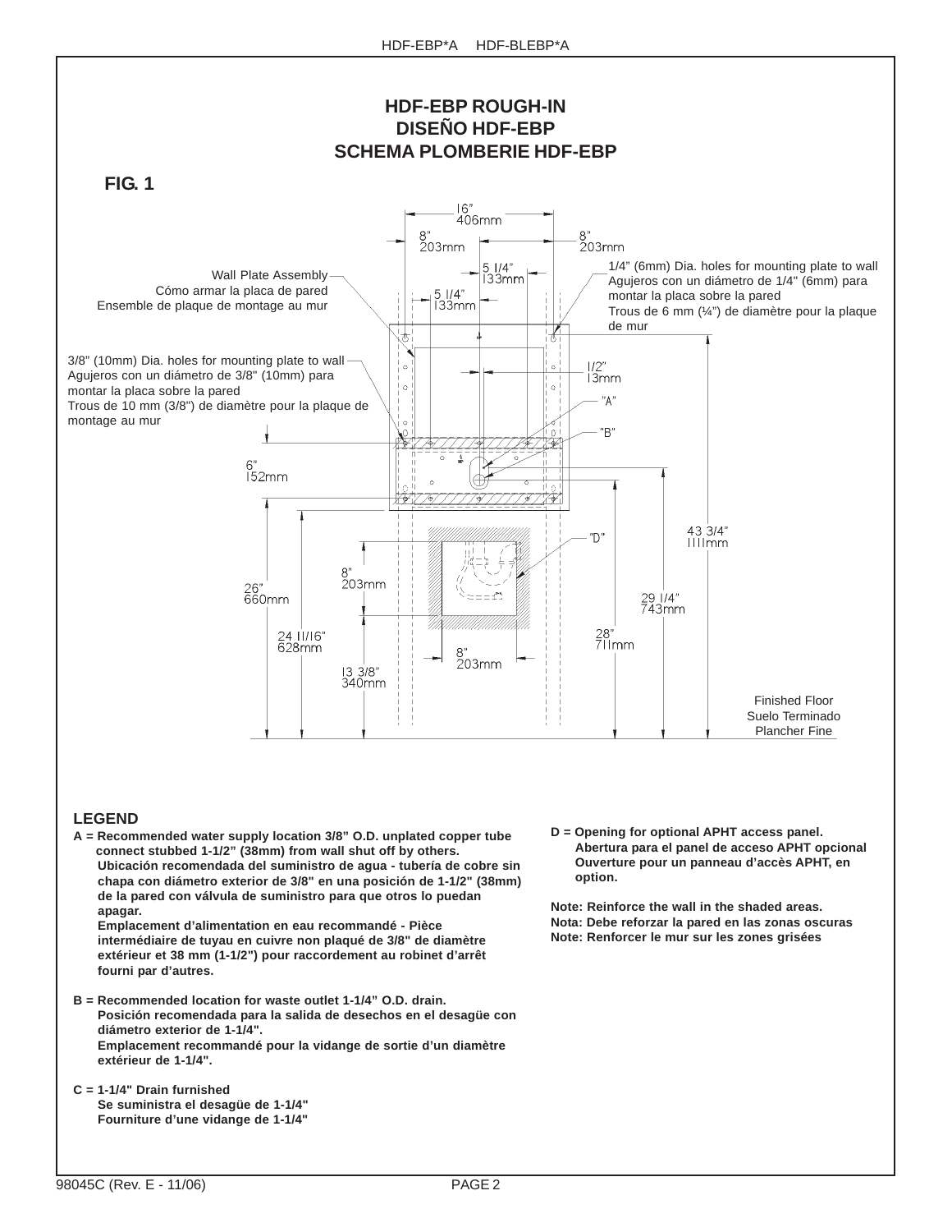

### **LEGEND**

**A = Recommended water supply location 3/8" O.D. unplated copper tube connect stubbed 1-1/2" (38mm) from wall shut off by others. Ubicación recomendada del suministro de agua - tubería de cobre sin chapa con diámetro exterior de 3/8" en una posición de 1-1/2" (38mm) de la pared con válvula de suministro para que otros lo puedan apagar.**

**Emplacement d'alimentation en eau recommandé - Pièce intermédiaire de tuyau en cuivre non plaqué de 3/8" de diamètre extérieur et 38 mm (1-1/2") pour raccordement au robinet d'arrêt fourni par d'autres.**

- **B = Recommended location for waste outlet 1-1/4" O.D. drain. Posición recomendada para la salida de desechos en el desagüe con diámetro exterior de 1-1/4". Emplacement recommandé pour la vidange de sortie d'un diamètre extérieur de 1-1/4".**
- **C = 1-1/4" Drain furnished Se suministra el desagüe de 1-1/4" Fourniture d'une vidange de 1-1/4"**

**D = Opening for optional APHT access panel. Abertura para el panel de acceso APHT opcional Ouverture pour un panneau d'accès APHT, en option.**

**Note: Reinforce the wall in the shaded areas. Nota: Debe reforzar la pared en las zonas oscuras Note: Renforcer le mur sur les zones grisées**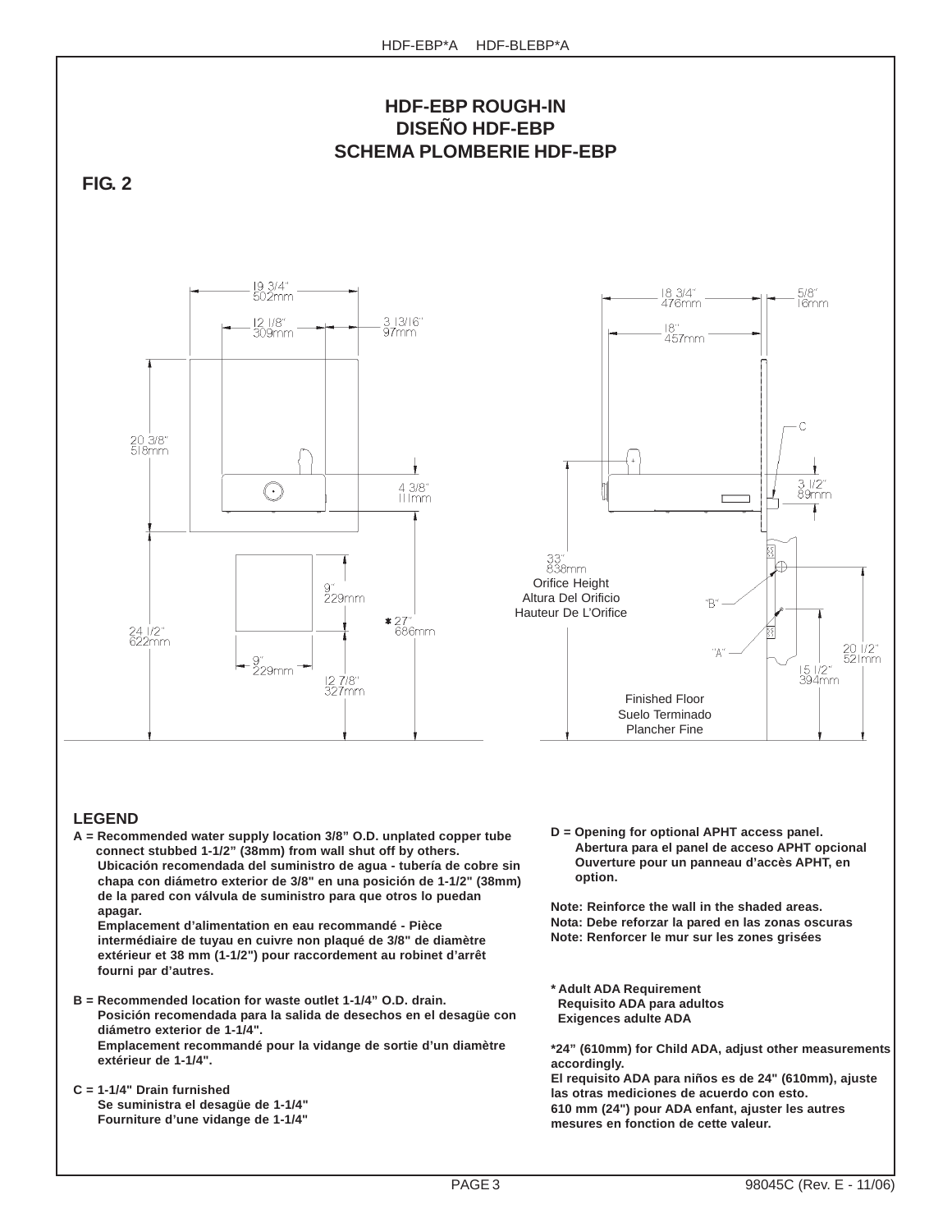

**A = Recommended water supply location 3/8" O.D. unplated copper tube connect stubbed 1-1/2" (38mm) from wall shut off by others. Ubicación recomendada del suministro de agua - tubería de cobre sin chapa con diámetro exterior de 3/8" en una posición de 1-1/2" (38mm) de la pared con válvula de suministro para que otros lo puedan**

**apagar. Emplacement d'alimentation en eau recommandé - Pièce intermédiaire de tuyau en cuivre non plaqué de 3/8" de diamètre extérieur et 38 mm (1-1/2") pour raccordement au robinet d'arrêt fourni par d'autres.**

- **B = Recommended location for waste outlet 1-1/4" O.D. drain. Posición recomendada para la salida de desechos en el desagüe con diámetro exterior de 1-1/4". Emplacement recommandé pour la vidange de sortie d'un diamètre extérieur de 1-1/4".**
- **C = 1-1/4" Drain furnished Se suministra el desagüe de 1-1/4" Fourniture d'une vidange de 1-1/4"**

**D = Opening for optional APHT access panel. Abertura para el panel de acceso APHT opcional Ouverture pour un panneau d'accès APHT, en option.**

**Note: Reinforce the wall in the shaded areas. Nota: Debe reforzar la pared en las zonas oscuras Note: Renforcer le mur sur les zones grisées**

**\* Adult ADA Requirement Requisito ADA para adultos Exigences adulte ADA**

**\*24" (610mm) for Child ADA, adjust other measurements accordingly. El requisito ADA para niños es de 24" (610mm), ajuste las otras mediciones de acuerdo con esto. 610 mm (24") pour ADA enfant, ajuster les autres mesures en fonction de cette valeur.**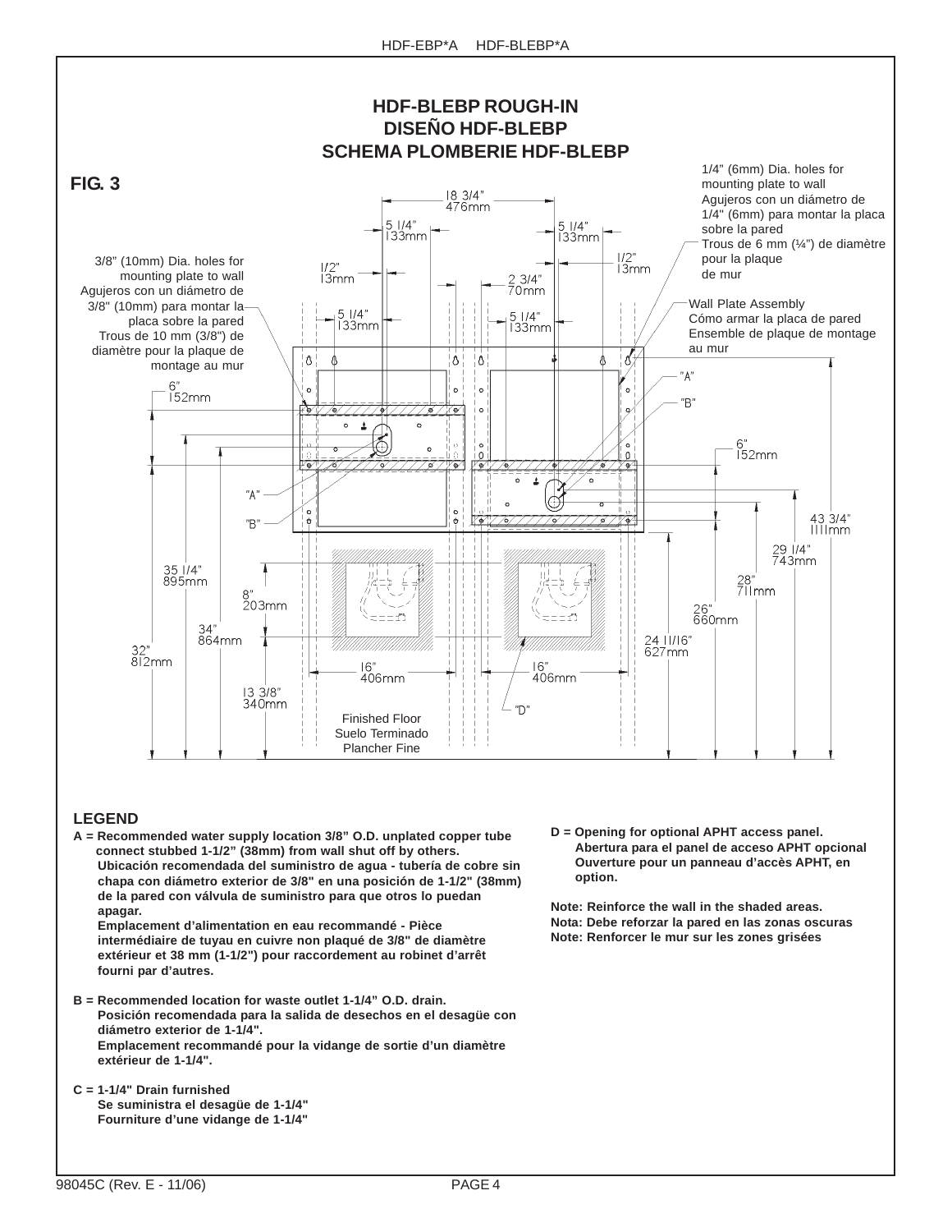

#### **LEGEND**

**A = Recommended water supply location 3/8" O.D. unplated copper tube connect stubbed 1-1/2" (38mm) from wall shut off by others. Ubicación recomendada del suministro de agua - tubería de cobre sin chapa con diámetro exterior de 3/8" en una posición de 1-1/2" (38mm) de la pared con válvula de suministro para que otros lo puedan apagar.**

**Emplacement d'alimentation en eau recommandé - Pièce intermédiaire de tuyau en cuivre non plaqué de 3/8" de diamètre extérieur et 38 mm (1-1/2") pour raccordement au robinet d'arrêt fourni par d'autres.**

- **B = Recommended location for waste outlet 1-1/4" O.D. drain. Posición recomendada para la salida de desechos en el desagüe con diámetro exterior de 1-1/4". Emplacement recommandé pour la vidange de sortie d'un diamètre extérieur de 1-1/4".**
- **C = 1-1/4" Drain furnished Se suministra el desagüe de 1-1/4" Fourniture d'une vidange de 1-1/4"**

**D = Opening for optional APHT access panel. Abertura para el panel de acceso APHT opcional Ouverture pour un panneau d'accès APHT, en option.**

**Note: Reinforce the wall in the shaded areas. Nota: Debe reforzar la pared en las zonas oscuras Note: Renforcer le mur sur les zones grisées**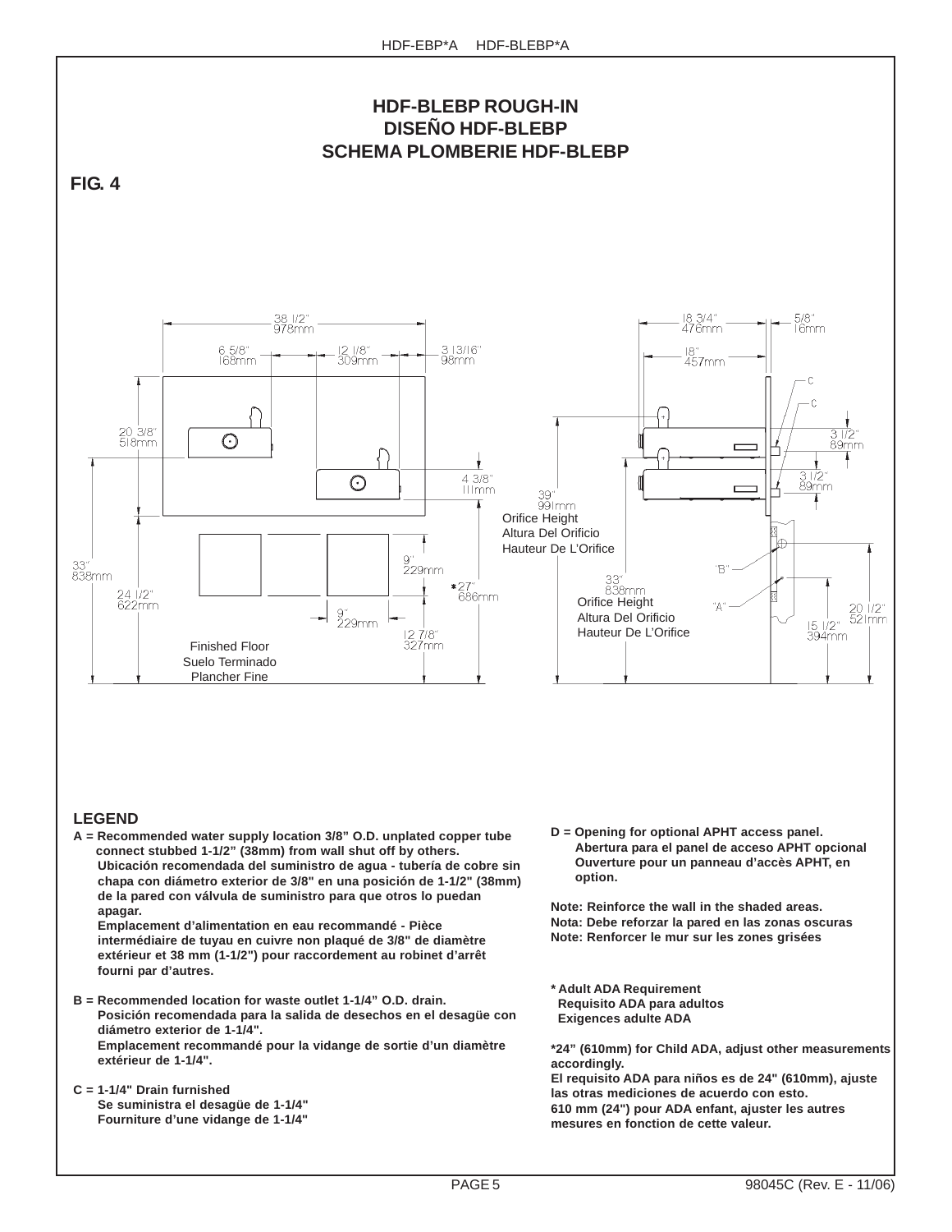

#### **LEGEND**

**A = Recommended water supply location 3/8" O.D. unplated copper tube connect stubbed 1-1/2" (38mm) from wall shut off by others. Ubicación recomendada del suministro de agua - tubería de cobre sin chapa con diámetro exterior de 3/8" en una posición de 1-1/2" (38mm) de la pared con válvula de suministro para que otros lo puedan apagar.**

**Emplacement d'alimentation en eau recommandé - Pièce intermédiaire de tuyau en cuivre non plaqué de 3/8" de diamètre extérieur et 38 mm (1-1/2") pour raccordement au robinet d'arrêt fourni par d'autres.**

- **B = Recommended location for waste outlet 1-1/4" O.D. drain. Posición recomendada para la salida de desechos en el desagüe con diámetro exterior de 1-1/4". Emplacement recommandé pour la vidange de sortie d'un diamètre extérieur de 1-1/4".**
- **C = 1-1/4" Drain furnished Se suministra el desagüe de 1-1/4" Fourniture d'une vidange de 1-1/4"**

**D = Opening for optional APHT access panel. Abertura para el panel de acceso APHT opcional Ouverture pour un panneau d'accès APHT, en option.**

**Note: Reinforce the wall in the shaded areas. Nota: Debe reforzar la pared en las zonas oscuras Note: Renforcer le mur sur les zones grisées**

**\* Adult ADA Requirement Requisito ADA para adultos Exigences adulte ADA**

**\*24" (610mm) for Child ADA, adjust other measurements accordingly. El requisito ADA para niños es de 24" (610mm), ajuste las otras mediciones de acuerdo con esto. 610 mm (24") pour ADA enfant, ajuster les autres mesures en fonction de cette valeur.**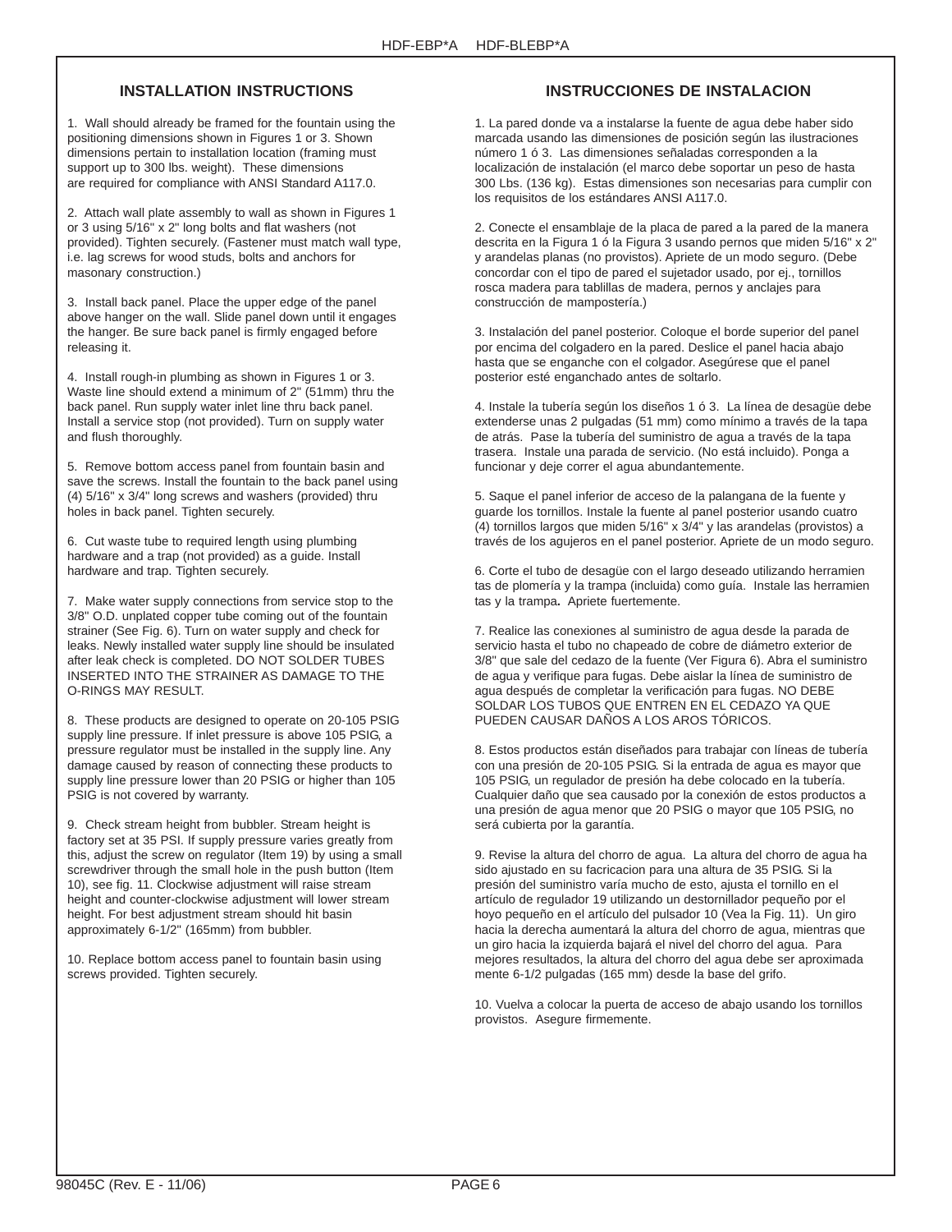## **INSTALLATION INSTRUCTIONS**

1. Wall should already be framed for the fountain using the positioning dimensions shown in Figures 1 or 3. Shown dimensions pertain to installation location (framing must support up to 300 lbs. weight). These dimensions are required for compliance with ANSI Standard A117.0.

2. Attach wall plate assembly to wall as shown in Figures 1 or 3 using 5/16" x 2" long bolts and flat washers (not provided). Tighten securely. (Fastener must match wall type, i.e. lag screws for wood studs, bolts and anchors for masonary construction.)

3. Install back panel. Place the upper edge of the panel above hanger on the wall. Slide panel down until it engages the hanger. Be sure back panel is firmly engaged before releasing it.

4. Install rough-in plumbing as shown in Figures 1 or 3. Waste line should extend a minimum of 2" (51mm) thru the back panel. Run supply water inlet line thru back panel. Install a service stop (not provided). Turn on supply water and flush thoroughly.

5. Remove bottom access panel from fountain basin and save the screws. Install the fountain to the back panel using (4) 5/16" x 3/4" long screws and washers (provided) thru holes in back panel. Tighten securely.

6. Cut waste tube to required length using plumbing hardware and a trap (not provided) as a guide. Install hardware and trap. Tighten securely.

7. Make water supply connections from service stop to the 3/8" O.D. unplated copper tube coming out of the fountain strainer (See Fig. 6). Turn on water supply and check for leaks. Newly installed water supply line should be insulated after leak check is completed. DO NOT SOLDER TUBES INSERTED INTO THE STRAINER AS DAMAGE TO THE O-RINGS MAY RESULT.

8. These products are designed to operate on 20-105 PSIG supply line pressure. If inlet pressure is above 105 PSIG, a pressure regulator must be installed in the supply line. Any damage caused by reason of connecting these products to supply line pressure lower than 20 PSIG or higher than 105 PSIG is not covered by warranty.

9. Check stream height from bubbler. Stream height is factory set at 35 PSI. If supply pressure varies greatly from this, adjust the screw on regulator (Item 19) by using a small screwdriver through the small hole in the push button (Item 10), see fig. 11. Clockwise adjustment will raise stream height and counter-clockwise adjustment will lower stream height. For best adjustment stream should hit basin approximately 6-1/2" (165mm) from bubbler.

10. Replace bottom access panel to fountain basin using screws provided. Tighten securely.

## **INSTRUCCIONES DE INSTALACION**

1. La pared donde va a instalarse la fuente de agua debe haber sido marcada usando las dimensiones de posición según las ilustraciones número 1 ó 3. Las dimensiones señaladas corresponden a la localización de instalación (el marco debe soportar un peso de hasta 300 Lbs. (136 kg). Estas dimensiones son necesarias para cumplir con los requisitos de los estándares ANSI A117.0.

2. Conecte el ensamblaje de la placa de pared a la pared de la manera descrita en la Figura 1 ó la Figura 3 usando pernos que miden 5/16" x 2" y arandelas planas (no provistos). Apriete de un modo seguro. (Debe concordar con el tipo de pared el sujetador usado, por ej., tornillos rosca madera para tablillas de madera, pernos y anclajes para construcción de mampostería.)

3. Instalación del panel posterior. Coloque el borde superior del panel por encima del colgadero en la pared. Deslice el panel hacia abajo hasta que se enganche con el colgador. Asegúrese que el panel posterior esté enganchado antes de soltarlo.

4. Instale la tubería según los diseños 1 ó 3. La línea de desagüe debe extenderse unas 2 pulgadas (51 mm) como mínimo a través de la tapa de atrás. Pase la tubería del suministro de agua a través de la tapa trasera. Instale una parada de servicio. (No está incluido). Ponga a funcionar y deje correr el agua abundantemente.

5. Saque el panel inferior de acceso de la palangana de la fuente y guarde los tornillos. Instale la fuente al panel posterior usando cuatro (4) tornillos largos que miden 5/16" x 3/4" y las arandelas (provistos) a través de los agujeros en el panel posterior. Apriete de un modo seguro.

6. Corte el tubo de desagüe con el largo deseado utilizando herramien tas de plomería y la trampa (incluida) como guía. Instale las herramien tas y la trampa**.** Apriete fuertemente.

7. Realice las conexiones al suministro de agua desde la parada de servicio hasta el tubo no chapeado de cobre de diámetro exterior de 3/8" que sale del cedazo de la fuente (Ver Figura 6). Abra el suministro de agua y verifique para fugas. Debe aislar la línea de suministro de agua después de completar la verificación para fugas. NO DEBE SOLDAR LOS TUBOS QUE ENTREN EN EL CEDAZO YA QUE PUEDEN CAUSAR DAÑOS A LOS AROS TÓRICOS.

8. Estos productos están diseñados para trabajar con líneas de tubería con una presión de 20-105 PSIG. Si la entrada de agua es mayor que 105 PSIG, un regulador de presión ha debe colocado en la tubería. Cualquier daño que sea causado por la conexión de estos productos a una presión de agua menor que 20 PSIG o mayor que 105 PSIG, no será cubierta por la garantía.

9. Revise la altura del chorro de agua. La altura del chorro de agua ha sido ajustado en su facricacion para una altura de 35 PSIG. Si la presión del suministro varía mucho de esto, ajusta el tornillo en el artículo de regulador 19 utilizando un destornillador pequeño por el hoyo pequeño en el artículo del pulsador 10 (Vea la Fig. 11). Un giro hacia la derecha aumentará la altura del chorro de agua, mientras que un giro hacia la izquierda bajará el nivel del chorro del agua. Para mejores resultados, la altura del chorro del agua debe ser aproximada mente 6-1/2 pulgadas (165 mm) desde la base del grifo.

10. Vuelva a colocar la puerta de acceso de abajo usando los tornillos provistos. Asegure firmemente.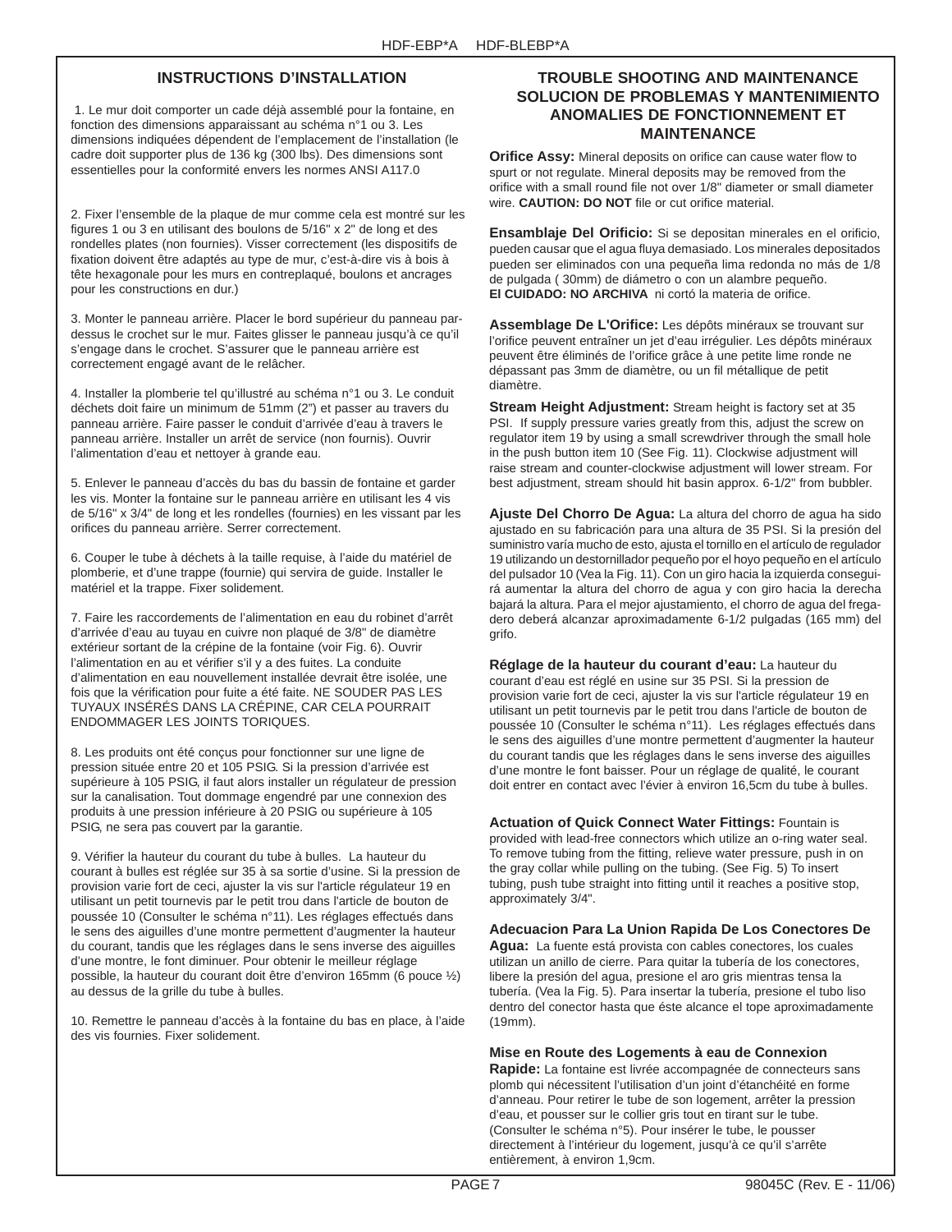## **INSTRUCTIONS D'INSTALLATION**

 1. Le mur doit comporter un cade déjà assemblé pour la fontaine, en fonction des dimensions apparaissant au schéma n°1 ou 3. Les dimensions indiquées dépendent de l'emplacement de l'installation (le cadre doit supporter plus de 136 kg (300 lbs). Des dimensions sont essentielles pour la conformité envers les normes ANSI A117.0

2. Fixer l'ensemble de la plaque de mur comme cela est montré sur les figures 1 ou 3 en utilisant des boulons de 5/16" x 2" de long et des rondelles plates (non fournies). Visser correctement (les dispositifs de fixation doivent être adaptés au type de mur, c'est-à-dire vis à bois à tête hexagonale pour les murs en contreplaqué, boulons et ancrages pour les constructions en dur.)

3. Monter le panneau arrière. Placer le bord supérieur du panneau pardessus le crochet sur le mur. Faites glisser le panneau jusqu'à ce qu'il s'engage dans le crochet. S'assurer que le panneau arrière est correctement engagé avant de le relâcher.

4. Installer la plomberie tel qu'illustré au schéma n°1 ou 3. Le conduit déchets doit faire un minimum de 51mm (2") et passer au travers du panneau arrière. Faire passer le conduit d'arrivée d'eau à travers le panneau arrière. Installer un arrêt de service (non fournis). Ouvrir l'alimentation d'eau et nettoyer à grande eau.

5. Enlever le panneau d'accès du bas du bassin de fontaine et garder les vis. Monter la fontaine sur le panneau arrière en utilisant les 4 vis de 5/16" x 3/4" de long et les rondelles (fournies) en les vissant par les orifices du panneau arrière. Serrer correctement.

6. Couper le tube à déchets à la taille requise, à l'aide du matériel de plomberie, et d'une trappe (fournie) qui servira de guide. Installer le matériel et la trappe. Fixer solidement.

7. Faire les raccordements de l'alimentation en eau du robinet d'arrêt d'arrivée d'eau au tuyau en cuivre non plaqué de 3/8" de diamètre extérieur sortant de la crépine de la fontaine (voir Fig. 6). Ouvrir l'alimentation en au et vérifier s'il y a des fuites. La conduite d'alimentation en eau nouvellement installée devrait être isolée, une fois que la vérification pour fuite a été faite. NE SOUDER PAS LES TUYAUX INSÉRÉS DANS LA CRÉPINE, CAR CELA POURRAIT ENDOMMAGER LES JOINTS TORIQUES.

8. Les produits ont été conçus pour fonctionner sur une ligne de pression située entre 20 et 105 PSIG. Si la pression d'arrivée est supérieure à 105 PSIG, il faut alors installer un régulateur de pression sur la canalisation. Tout dommage engendré par une connexion des produits à une pression inférieure à 20 PSIG ou supérieure à 105 PSIG, ne sera pas couvert par la garantie.

9. Vérifier la hauteur du courant du tube à bulles. La hauteur du courant à bulles est réglée sur 35 à sa sortie d'usine. Si la pression de provision varie fort de ceci, ajuster la vis sur l'article régulateur 19 en utilisant un petit tournevis par le petit trou dans l'article de bouton de poussée 10 (Consulter le schéma n°11). Les réglages effectués dans le sens des aiguilles d'une montre permettent d'augmenter la hauteur du courant, tandis que les réglages dans le sens inverse des aiguilles d'une montre, le font diminuer. Pour obtenir le meilleur réglage possible, la hauteur du courant doit être d'environ 165mm (6 pouce ½) au dessus de la grille du tube à bulles.

10. Remettre le panneau d'accès à la fontaine du bas en place, à l'aide des vis fournies. Fixer solidement.

## **TROUBLE SHOOTING AND MAINTENANCE SOLUCION DE PROBLEMAS Y MANTENIMIENTO ANOMALIES DE FONCTIONNEMENT ET MAINTENANCE**

**Orifice Assy:** Mineral deposits on orifice can cause water flow to spurt or not regulate. Mineral deposits may be removed from the orifice with a small round file not over 1/8" diameter or small diameter wire. **CAUTION: DO NOT** file or cut orifice material.

**Ensamblaje Del Orificio:** Si se depositan minerales en el orificio, pueden causar que el agua fluya demasiado. Los minerales depositados pueden ser eliminados con una pequeña lima redonda no más de 1/8 de pulgada ( 30mm) de diámetro o con un alambre pequeño. **El CUIDADO: NO ARCHIVA** ni cortó la materia de orifice.

**Assemblage De L'Orifice:** Les dépôts minéraux se trouvant sur l'orifice peuvent entraîner un jet d'eau irrégulier. Les dépôts minéraux peuvent être éliminés de l'orifice grâce à une petite lime ronde ne dépassant pas 3mm de diamètre, ou un fil métallique de petit diamètre.

**Stream Height Adjustment:** Stream height is factory set at 35 PSI. If supply pressure varies greatly from this, adjust the screw on regulator item 19 by using a small screwdriver through the small hole in the push button item 10 (See Fig. 11). Clockwise adjustment will raise stream and counter-clockwise adjustment will lower stream. For best adjustment, stream should hit basin approx. 6-1/2" from bubbler.

**Ajuste Del Chorro De Agua:** La altura del chorro de agua ha sido ajustado en su fabricación para una altura de 35 PSI. Si la presión del suministro varía mucho de esto, ajusta el tornillo en el artículo de regulador 19 utilizando un destornillador pequeño por el hoyo pequeño en el artículo del pulsador 10 (Vea la Fig. 11). Con un giro hacia la izquierda conseguirá aumentar la altura del chorro de agua y con giro hacia la derecha bajará la altura. Para el mejor ajustamiento, el chorro de agua del fregadero deberá alcanzar aproximadamente 6-1/2 pulgadas (165 mm) del grifo.

**Réglage de la hauteur du courant d'eau:** La hauteur du courant d'eau est réglé en usine sur 35 PSI. Si la pression de provision varie fort de ceci, ajuster la vis sur l'article régulateur 19 en utilisant un petit tournevis par le petit trou dans l'article de bouton de poussée 10 (Consulter le schéma n°11). Les réglages effectués dans le sens des aiguilles d'une montre permettent d'augmenter la hauteur du courant tandis que les réglages dans le sens inverse des aiguilles d'une montre le font baisser. Pour un réglage de qualité, le courant doit entrer en contact avec l'évier à environ 16,5cm du tube à bulles.

**Actuation of Quick Connect Water Fittings:** Fountain is provided with lead-free connectors which utilize an o-ring water seal. To remove tubing from the fitting, relieve water pressure, push in on the gray collar while pulling on the tubing. (See Fig. 5) To insert tubing, push tube straight into fitting until it reaches a positive stop, approximately 3/4".

**Adecuacion Para La Union Rapida De Los Conectores De**

**Agua:** La fuente está provista con cables conectores, los cuales utilizan un anillo de cierre. Para quitar la tubería de los conectores, libere la presión del agua, presione el aro gris mientras tensa la tubería. (Vea la Fig. 5). Para insertar la tubería, presione el tubo liso dentro del conector hasta que éste alcance el tope aproximadamente (19mm).

### **Mise en Route des Logements à eau de Connexion**

**Rapide:** La fontaine est livrée accompagnée de connecteurs sans plomb qui nécessitent l'utilisation d'un joint d'étanchéité en forme d'anneau. Pour retirer le tube de son logement, arrêter la pression d'eau, et pousser sur le collier gris tout en tirant sur le tube. (Consulter le schéma n°5). Pour insérer le tube, le pousser directement à l'intérieur du logement, jusqu'à ce qu'il s'arrête entièrement, à environ 1,9cm.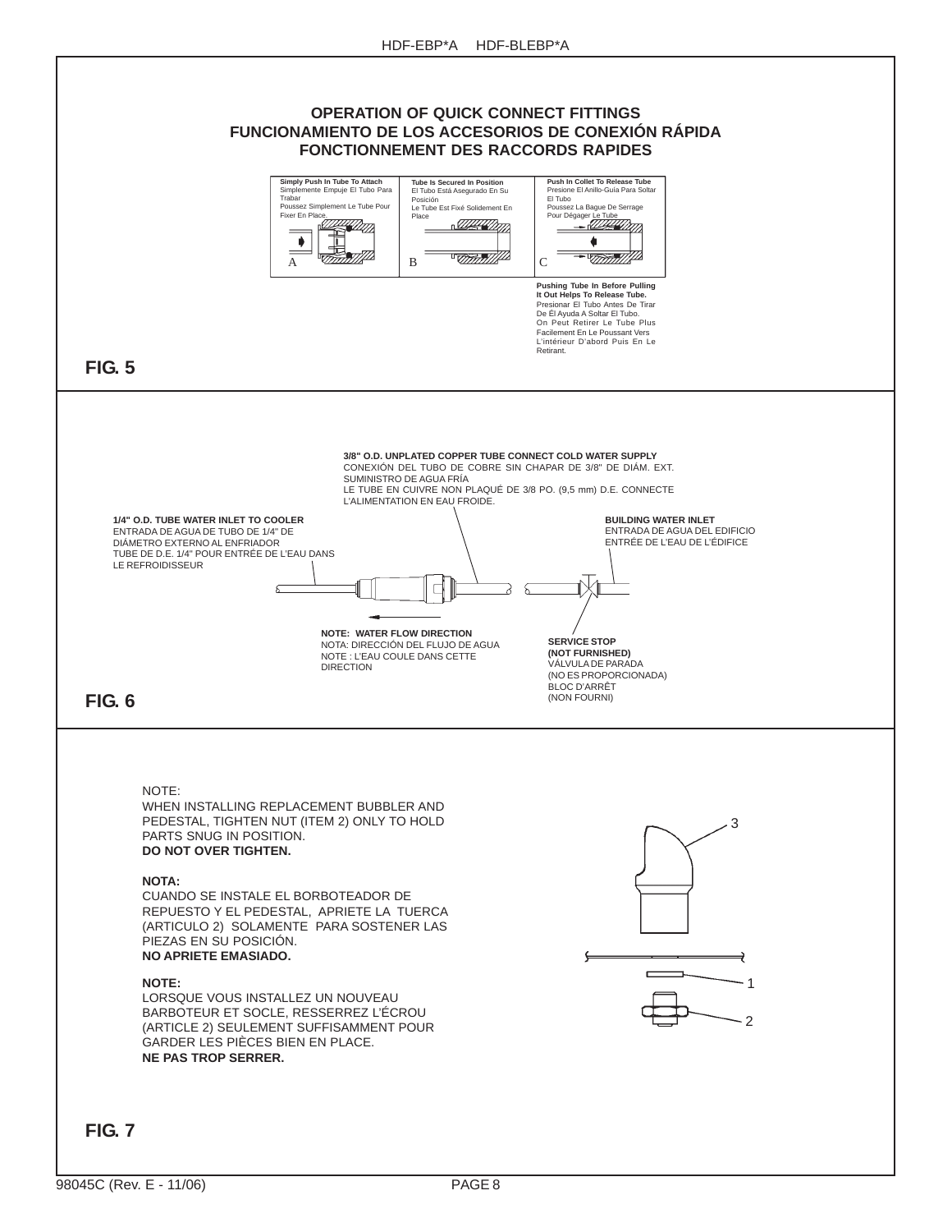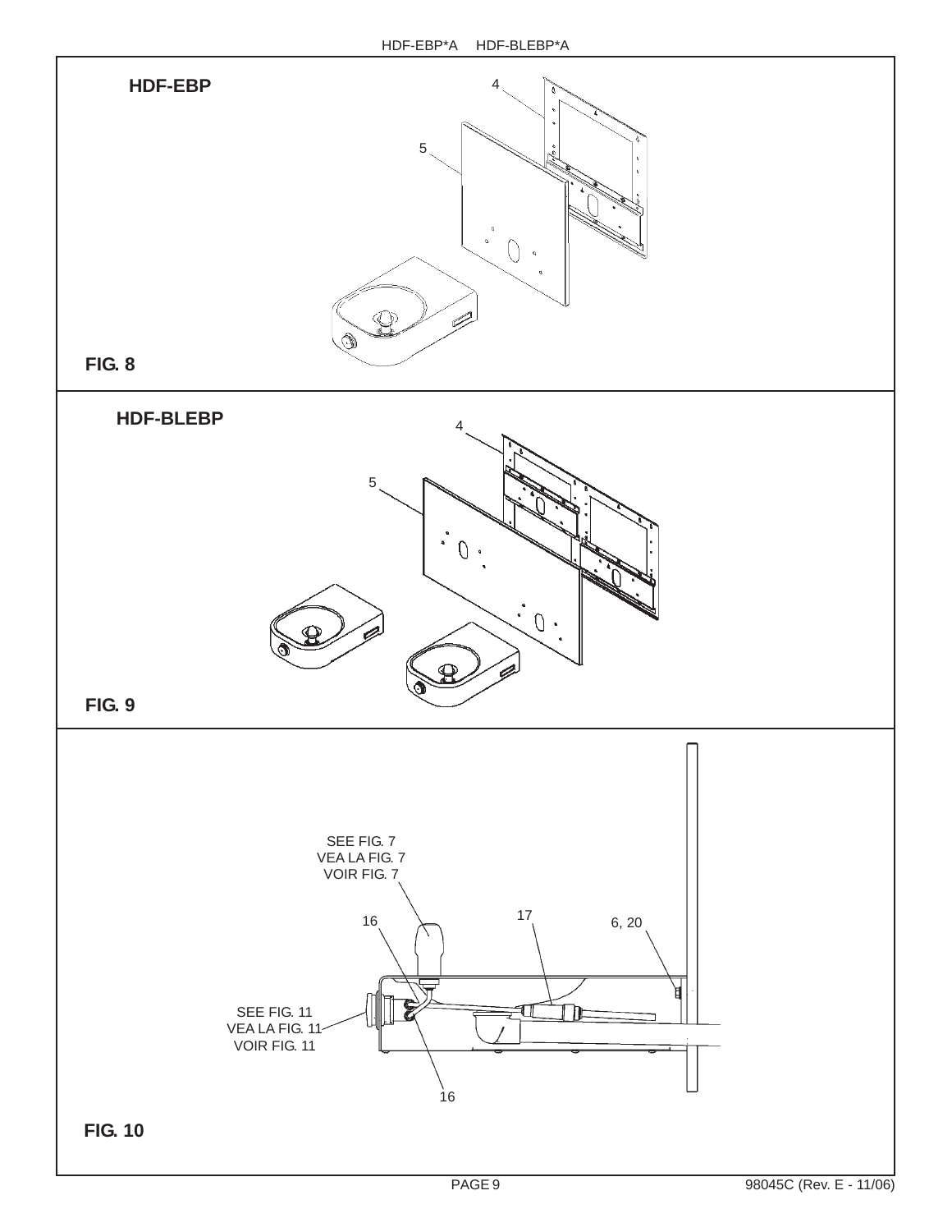